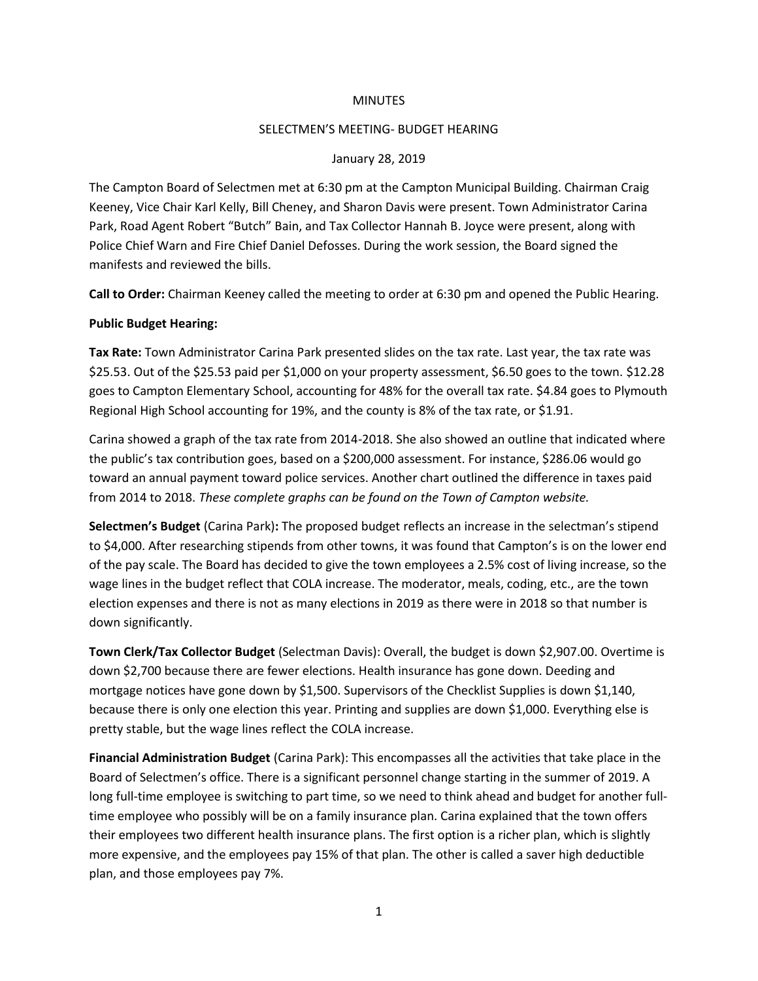## MINUTES

# SELECTMEN'S MEETING- BUDGET HEARING

# January 28, 2019

The Campton Board of Selectmen met at 6:30 pm at the Campton Municipal Building. Chairman Craig Keeney, Vice Chair Karl Kelly, Bill Cheney, and Sharon Davis were present. Town Administrator Carina Park, Road Agent Robert "Butch" Bain, and Tax Collector Hannah B. Joyce were present, along with Police Chief Warn and Fire Chief Daniel Defosses. During the work session, the Board signed the manifests and reviewed the bills.

**Call to Order:** Chairman Keeney called the meeting to order at 6:30 pm and opened the Public Hearing.

# **Public Budget Hearing:**

**Tax Rate:** Town Administrator Carina Park presented slides on the tax rate. Last year, the tax rate was \$25.53. Out of the \$25.53 paid per \$1,000 on your property assessment, \$6.50 goes to the town. \$12.28 goes to Campton Elementary School, accounting for 48% for the overall tax rate. \$4.84 goes to Plymouth Regional High School accounting for 19%, and the county is 8% of the tax rate, or \$1.91.

Carina showed a graph of the tax rate from 2014-2018. She also showed an outline that indicated where the public's tax contribution goes, based on a \$200,000 assessment. For instance, \$286.06 would go toward an annual payment toward police services. Another chart outlined the difference in taxes paid from 2014 to 2018. *These complete graphs can be found on the Town of Campton website.*

**Selectmen's Budget** (Carina Park)**:** The proposed budget reflects an increase in the selectman's stipend to \$4,000. After researching stipends from other towns, it was found that Campton's is on the lower end of the pay scale. The Board has decided to give the town employees a 2.5% cost of living increase, so the wage lines in the budget reflect that COLA increase. The moderator, meals, coding, etc., are the town election expenses and there is not as many elections in 2019 as there were in 2018 so that number is down significantly.

**Town Clerk/Tax Collector Budget** (Selectman Davis): Overall, the budget is down \$2,907.00. Overtime is down \$2,700 because there are fewer elections. Health insurance has gone down. Deeding and mortgage notices have gone down by \$1,500. Supervisors of the Checklist Supplies is down \$1,140, because there is only one election this year. Printing and supplies are down \$1,000. Everything else is pretty stable, but the wage lines reflect the COLA increase.

**Financial Administration Budget** (Carina Park): This encompasses all the activities that take place in the Board of Selectmen's office. There is a significant personnel change starting in the summer of 2019. A long full-time employee is switching to part time, so we need to think ahead and budget for another fulltime employee who possibly will be on a family insurance plan. Carina explained that the town offers their employees two different health insurance plans. The first option is a richer plan, which is slightly more expensive, and the employees pay 15% of that plan. The other is called a saver high deductible plan, and those employees pay 7%.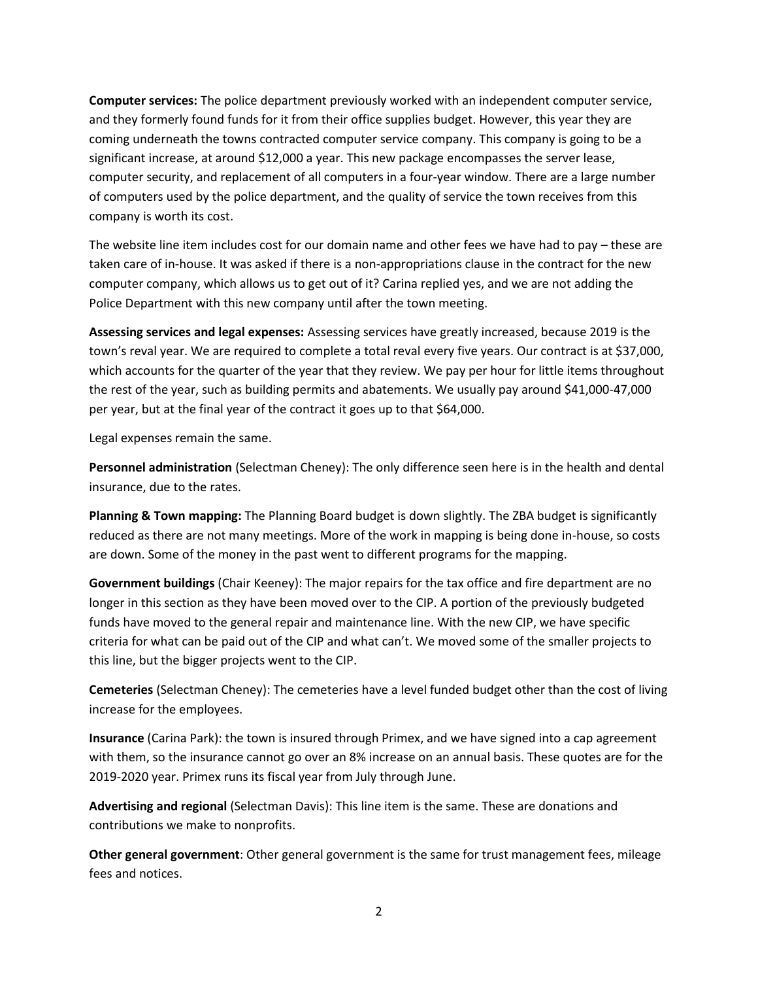**Computer services:** The police department previously worked with an independent computer service, and they formerly found funds for it from their office supplies budget. However, this year they are coming underneath the towns contracted computer service company. This company is going to be a significant increase, at around \$12,000 a year. This new package encompasses the server lease, computer security, and replacement of all computers in a four-year window. There are a large number of computers used by the police department, and the quality of service the town receives from this company is worth its cost.

The website line item includes cost for our domain name and other fees we have had to pay – these are taken care of in-house. It was asked if there is a non-appropriations clause in the contract for the new computer company, which allows us to get out of it? Carina replied yes, and we are not adding the Police Department with this new company until after the town meeting.

**Assessing services and legal expenses:** Assessing services have greatly increased, because 2019 is the town's reval year. We are required to complete a total reval every five years. Our contract is at \$37,000, which accounts for the quarter of the year that they review. We pay per hour for little items throughout the rest of the year, such as building permits and abatements. We usually pay around \$41,000-47,000 per year, but at the final year of the contract it goes up to that \$64,000.

Legal expenses remain the same.

**Personnel administration** (Selectman Cheney): The only difference seen here is in the health and dental insurance, due to the rates.

**Planning & Town mapping:** The Planning Board budget is down slightly. The ZBA budget is significantly reduced as there are not many meetings. More of the work in mapping is being done in-house, so costs are down. Some of the money in the past went to different programs for the mapping.

**Government buildings** (Chair Keeney): The major repairs for the tax office and fire department are no longer in this section as they have been moved over to the CIP. A portion of the previously budgeted funds have moved to the general repair and maintenance line. With the new CIP, we have specific criteria for what can be paid out of the CIP and what can't. We moved some of the smaller projects to this line, but the bigger projects went to the CIP.

**Cemeteries** (Selectman Cheney): The cemeteries have a level funded budget other than the cost of living increase for the employees.

**Insurance** (Carina Park): the town is insured through Primex, and we have signed into a cap agreement with them, so the insurance cannot go over an 8% increase on an annual basis. These quotes are for the 2019-2020 year. Primex runs its fiscal year from July through June.

**Advertising and regional** (Selectman Davis): This line item is the same. These are donations and contributions we make to nonprofits.

**Other general government**: Other general government is the same for trust management fees, mileage fees and notices.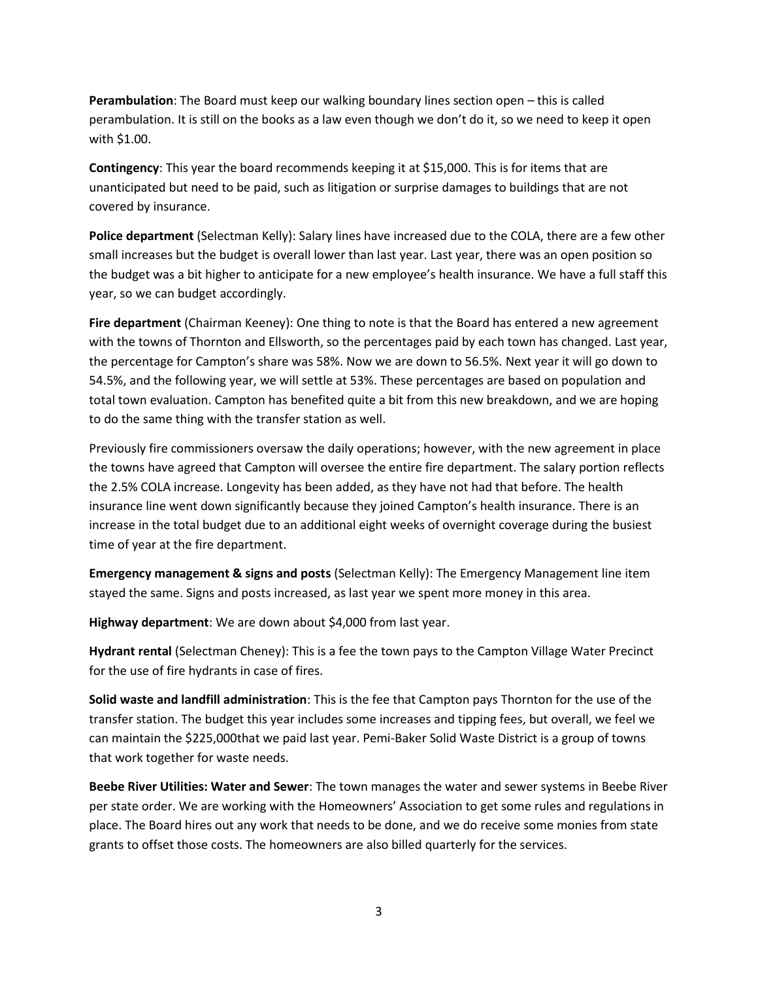**Perambulation**: The Board must keep our walking boundary lines section open – this is called perambulation. It is still on the books as a law even though we don't do it, so we need to keep it open with \$1.00.

**Contingency**: This year the board recommends keeping it at \$15,000. This is for items that are unanticipated but need to be paid, such as litigation or surprise damages to buildings that are not covered by insurance.

**Police department** (Selectman Kelly): Salary lines have increased due to the COLA, there are a few other small increases but the budget is overall lower than last year. Last year, there was an open position so the budget was a bit higher to anticipate for a new employee's health insurance. We have a full staff this year, so we can budget accordingly.

**Fire department** (Chairman Keeney): One thing to note is that the Board has entered a new agreement with the towns of Thornton and Ellsworth, so the percentages paid by each town has changed. Last year, the percentage for Campton's share was 58%. Now we are down to 56.5%. Next year it will go down to 54.5%, and the following year, we will settle at 53%. These percentages are based on population and total town evaluation. Campton has benefited quite a bit from this new breakdown, and we are hoping to do the same thing with the transfer station as well.

Previously fire commissioners oversaw the daily operations; however, with the new agreement in place the towns have agreed that Campton will oversee the entire fire department. The salary portion reflects the 2.5% COLA increase. Longevity has been added, as they have not had that before. The health insurance line went down significantly because they joined Campton's health insurance. There is an increase in the total budget due to an additional eight weeks of overnight coverage during the busiest time of year at the fire department.

**Emergency management & signs and posts** (Selectman Kelly): The Emergency Management line item stayed the same. Signs and posts increased, as last year we spent more money in this area.

**Highway department**: We are down about \$4,000 from last year.

**Hydrant rental** (Selectman Cheney): This is a fee the town pays to the Campton Village Water Precinct for the use of fire hydrants in case of fires.

**Solid waste and landfill administration**: This is the fee that Campton pays Thornton for the use of the transfer station. The budget this year includes some increases and tipping fees, but overall, we feel we can maintain the \$225,000that we paid last year. Pemi-Baker Solid Waste District is a group of towns that work together for waste needs.

**Beebe River Utilities: Water and Sewer**: The town manages the water and sewer systems in Beebe River per state order. We are working with the Homeowners' Association to get some rules and regulations in place. The Board hires out any work that needs to be done, and we do receive some monies from state grants to offset those costs. The homeowners are also billed quarterly for the services.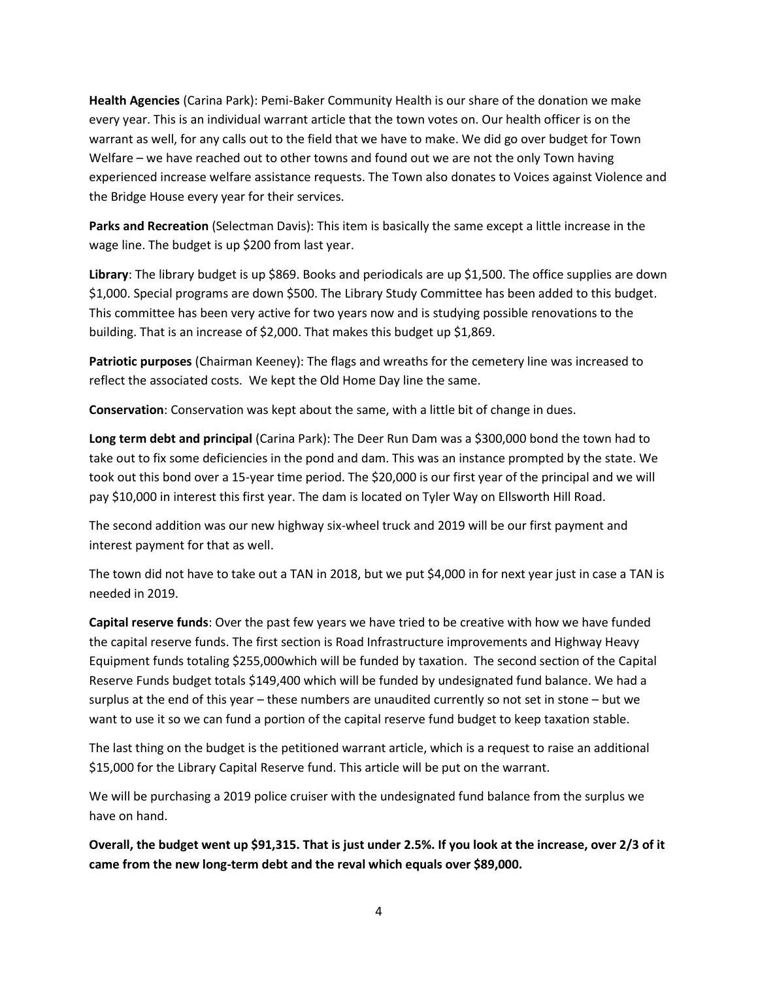**Health Agencies** (Carina Park): Pemi-Baker Community Health is our share of the donation we make every year. This is an individual warrant article that the town votes on. Our health officer is on the warrant as well, for any calls out to the field that we have to make. We did go over budget for Town Welfare – we have reached out to other towns and found out we are not the only Town having experienced increase welfare assistance requests. The Town also donates to Voices against Violence and the Bridge House every year for their services.

**Parks and Recreation** (Selectman Davis): This item is basically the same except a little increase in the wage line. The budget is up \$200 from last year.

**Library**: The library budget is up \$869. Books and periodicals are up \$1,500. The office supplies are down \$1,000. Special programs are down \$500. The Library Study Committee has been added to this budget. This committee has been very active for two years now and is studying possible renovations to the building. That is an increase of \$2,000. That makes this budget up \$1,869.

**Patriotic purposes** (Chairman Keeney): The flags and wreaths for the cemetery line was increased to reflect the associated costs. We kept the Old Home Day line the same.

**Conservation**: Conservation was kept about the same, with a little bit of change in dues.

**Long term debt and principal** (Carina Park): The Deer Run Dam was a \$300,000 bond the town had to take out to fix some deficiencies in the pond and dam. This was an instance prompted by the state. We took out this bond over a 15-year time period. The \$20,000 is our first year of the principal and we will pay \$10,000 in interest this first year. The dam is located on Tyler Way on Ellsworth Hill Road.

The second addition was our new highway six-wheel truck and 2019 will be our first payment and interest payment for that as well.

The town did not have to take out a TAN in 2018, but we put \$4,000 in for next year just in case a TAN is needed in 2019.

**Capital reserve funds**: Over the past few years we have tried to be creative with how we have funded the capital reserve funds. The first section is Road Infrastructure improvements and Highway Heavy Equipment funds totaling \$255,000which will be funded by taxation. The second section of the Capital Reserve Funds budget totals \$149,400 which will be funded by undesignated fund balance. We had a surplus at the end of this year – these numbers are unaudited currently so not set in stone – but we want to use it so we can fund a portion of the capital reserve fund budget to keep taxation stable.

The last thing on the budget is the petitioned warrant article, which is a request to raise an additional \$15,000 for the Library Capital Reserve fund. This article will be put on the warrant.

We will be purchasing a 2019 police cruiser with the undesignated fund balance from the surplus we have on hand.

**Overall, the budget went up \$91,315. That is just under 2.5%. If you look at the increase, over 2/3 of it came from the new long-term debt and the reval which equals over \$89,000.**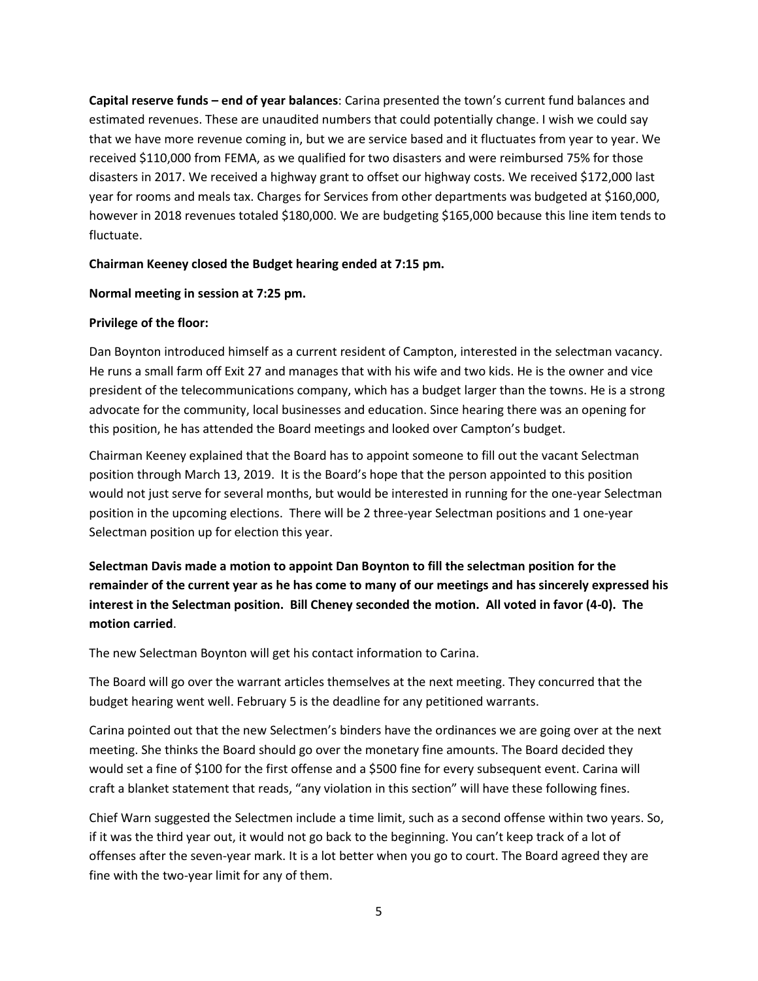**Capital reserve funds – end of year balances**: Carina presented the town's current fund balances and estimated revenues. These are unaudited numbers that could potentially change. I wish we could say that we have more revenue coming in, but we are service based and it fluctuates from year to year. We received \$110,000 from FEMA, as we qualified for two disasters and were reimbursed 75% for those disasters in 2017. We received a highway grant to offset our highway costs. We received \$172,000 last year for rooms and meals tax. Charges for Services from other departments was budgeted at \$160,000, however in 2018 revenues totaled \$180,000. We are budgeting \$165,000 because this line item tends to fluctuate.

## **Chairman Keeney closed the Budget hearing ended at 7:15 pm.**

### **Normal meeting in session at 7:25 pm.**

### **Privilege of the floor:**

Dan Boynton introduced himself as a current resident of Campton, interested in the selectman vacancy. He runs a small farm off Exit 27 and manages that with his wife and two kids. He is the owner and vice president of the telecommunications company, which has a budget larger than the towns. He is a strong advocate for the community, local businesses and education. Since hearing there was an opening for this position, he has attended the Board meetings and looked over Campton's budget.

Chairman Keeney explained that the Board has to appoint someone to fill out the vacant Selectman position through March 13, 2019. It is the Board's hope that the person appointed to this position would not just serve for several months, but would be interested in running for the one-year Selectman position in the upcoming elections. There will be 2 three-year Selectman positions and 1 one-year Selectman position up for election this year.

**Selectman Davis made a motion to appoint Dan Boynton to fill the selectman position for the remainder of the current year as he has come to many of our meetings and has sincerely expressed his interest in the Selectman position. Bill Cheney seconded the motion. All voted in favor (4-0). The motion carried**.

The new Selectman Boynton will get his contact information to Carina.

The Board will go over the warrant articles themselves at the next meeting. They concurred that the budget hearing went well. February 5 is the deadline for any petitioned warrants.

Carina pointed out that the new Selectmen's binders have the ordinances we are going over at the next meeting. She thinks the Board should go over the monetary fine amounts. The Board decided they would set a fine of \$100 for the first offense and a \$500 fine for every subsequent event. Carina will craft a blanket statement that reads, "any violation in this section" will have these following fines.

Chief Warn suggested the Selectmen include a time limit, such as a second offense within two years. So, if it was the third year out, it would not go back to the beginning. You can't keep track of a lot of offenses after the seven-year mark. It is a lot better when you go to court. The Board agreed they are fine with the two-year limit for any of them.